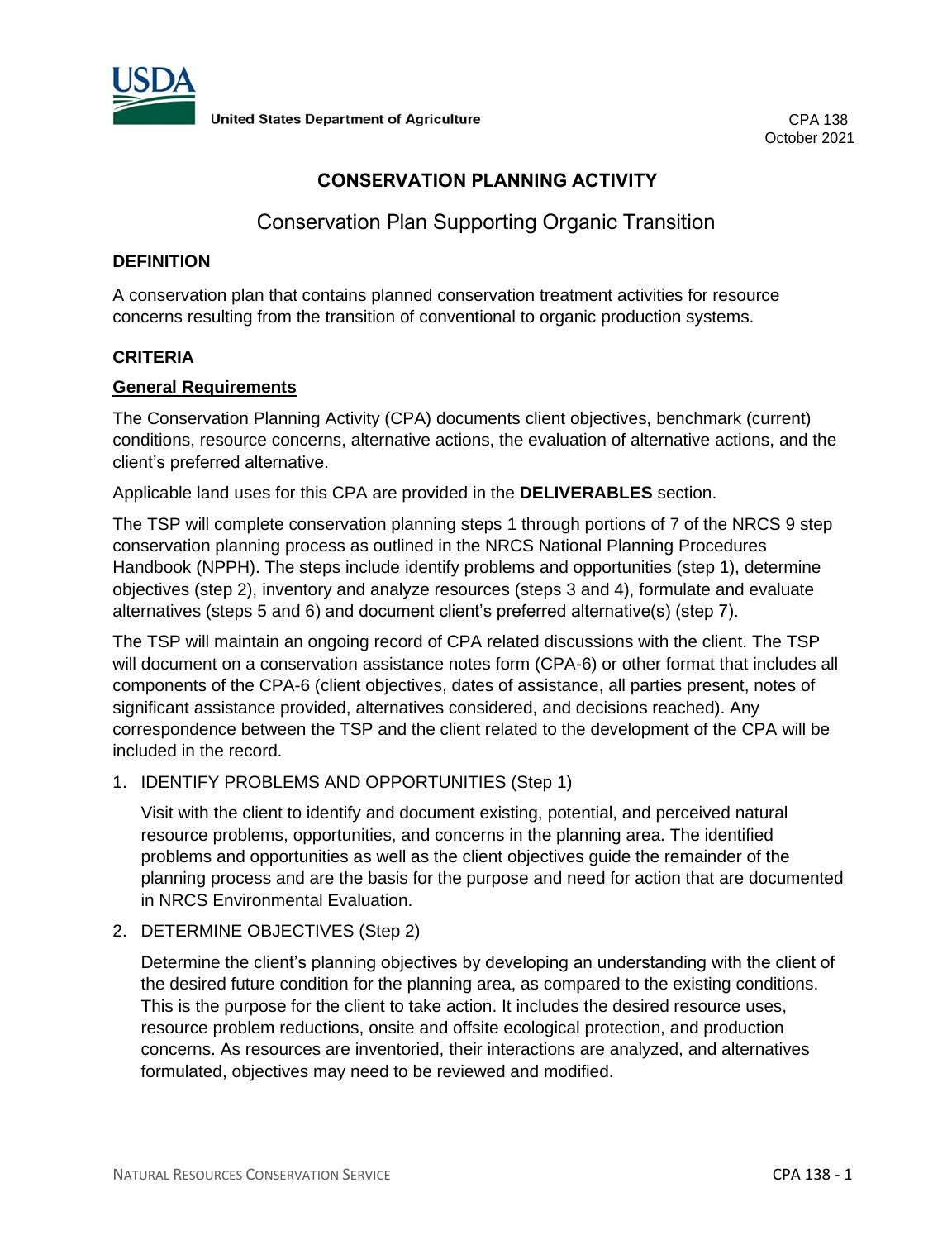

# **CONSERVATION PLANNING ACTIVITY**

# Conservation Plan Supporting Organic Transition

#### **DEFINITION**

A conservation plan that contains planned conservation treatment activities for resource concerns resulting from the transition of conventional to organic production systems.

#### **CRITERIA**

#### **General Requirements**

The Conservation Planning Activity (CPA) documents client objectives, benchmark (current) conditions, resource concerns, alternative actions, the evaluation of alternative actions, and the client's preferred alternative.

Applicable land uses for this CPA are provided in the **DELIVERABLES** section.

The TSP will complete conservation planning steps 1 through portions of 7 of the NRCS 9 step conservation planning process as outlined in the NRCS National Planning Procedures Handbook (NPPH). The steps include identify problems and opportunities (step 1), determine objectives (step 2), inventory and analyze resources (steps 3 and 4), formulate and evaluate alternatives (steps 5 and 6) and document client's preferred alternative(s) (step 7).

The TSP will maintain an ongoing record of CPA related discussions with the client. The TSP will document on a conservation assistance notes form (CPA-6) or other format that includes all components of the CPA-6 (client objectives, dates of assistance, all parties present, notes of significant assistance provided, alternatives considered, and decisions reached). Any correspondence between the TSP and the client related to the development of the CPA will be included in the record.

1. IDENTIFY PROBLEMS AND OPPORTUNITIES (Step 1)

Visit with the client to identify and document existing, potential, and perceived natural resource problems, opportunities, and concerns in the planning area. The identified problems and opportunities as well as the client objectives guide the remainder of the planning process and are the basis for the purpose and need for action that are documented in NRCS Environmental Evaluation.

2. DETERMINE OBJECTIVES (Step 2)

Determine the client's planning objectives by developing an understanding with the client of the desired future condition for the planning area, as compared to the existing conditions. This is the purpose for the client to take action. It includes the desired resource uses, resource problem reductions, onsite and offsite ecological protection, and production concerns. As resources are inventoried, their interactions are analyzed, and alternatives formulated, objectives may need to be reviewed and modified.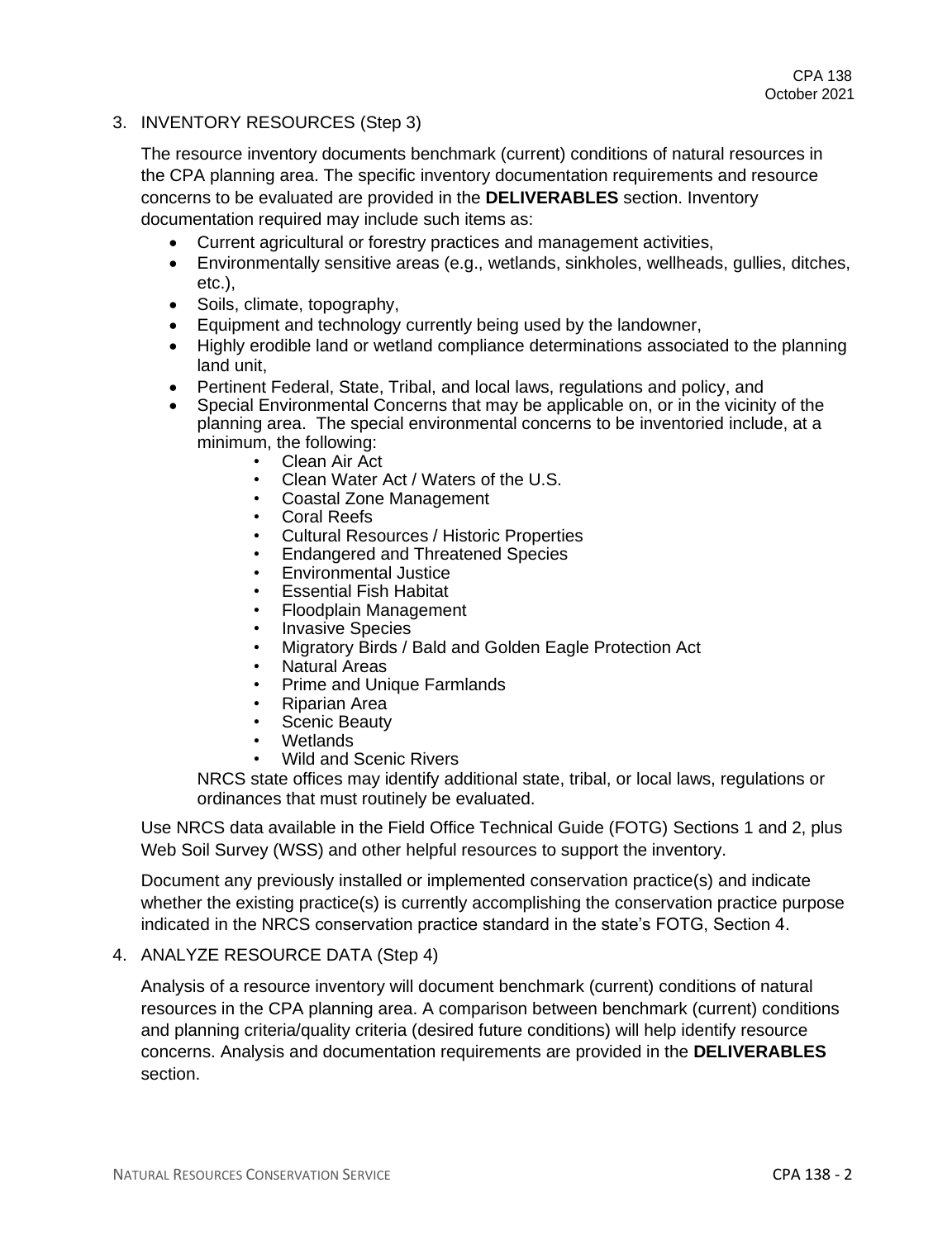3. INVENTORY RESOURCES (Step 3)

The resource inventory documents benchmark (current) conditions of natural resources in the CPA planning area. The specific inventory documentation requirements and resource concerns to be evaluated are provided in the **DELIVERABLES** section. Inventory documentation required may include such items as:

- Current agricultural or forestry practices and management activities,
- Environmentally sensitive areas (e.g., wetlands, sinkholes, wellheads, gullies, ditches, etc.),
- Soils, climate, topography,
- Equipment and technology currently being used by the landowner,
- Highly erodible land or wetland compliance determinations associated to the planning land unit,
- Pertinent Federal, State, Tribal, and local laws, regulations and policy, and
- Special Environmental Concerns that may be applicable on, or in the vicinity of the planning area. The special environmental concerns to be inventoried include, at a minimum, the following:
	- Clean Air Act
	- Clean Water Act / Waters of the U.S.
	- Coastal Zone Management
	- Coral Reefs
	- Cultural Resources / Historic Properties
	- Endangered and Threatened Species
	- Environmental Justice
	- Essential Fish Habitat
	- Floodplain Management
	- Invasive Species
	- Migratory Birds / Bald and Golden Eagle Protection Act
	- Natural Areas
	- Prime and Unique Farmlands
	- Riparian Area
	- Scenic Beauty
	- Wetlands
	- Wild and Scenic Rivers

NRCS state offices may identify additional state, tribal, or local laws, regulations or ordinances that must routinely be evaluated.

Use NRCS data available in the Field Office Technical Guide (FOTG) Sections 1 and 2, plus Web Soil Survey (WSS) and other helpful resources to support the inventory.

Document any previously installed or implemented conservation practice(s) and indicate whether the existing practice(s) is currently accomplishing the conservation practice purpose indicated in the NRCS conservation practice standard in the state's FOTG, Section 4.

#### 4. ANALYZE RESOURCE DATA (Step 4)

Analysis of a resource inventory will document benchmark (current) conditions of natural resources in the CPA planning area. A comparison between benchmark (current) conditions and planning criteria/quality criteria (desired future conditions) will help identify resource concerns. Analysis and documentation requirements are provided in the **DELIVERABLES** section.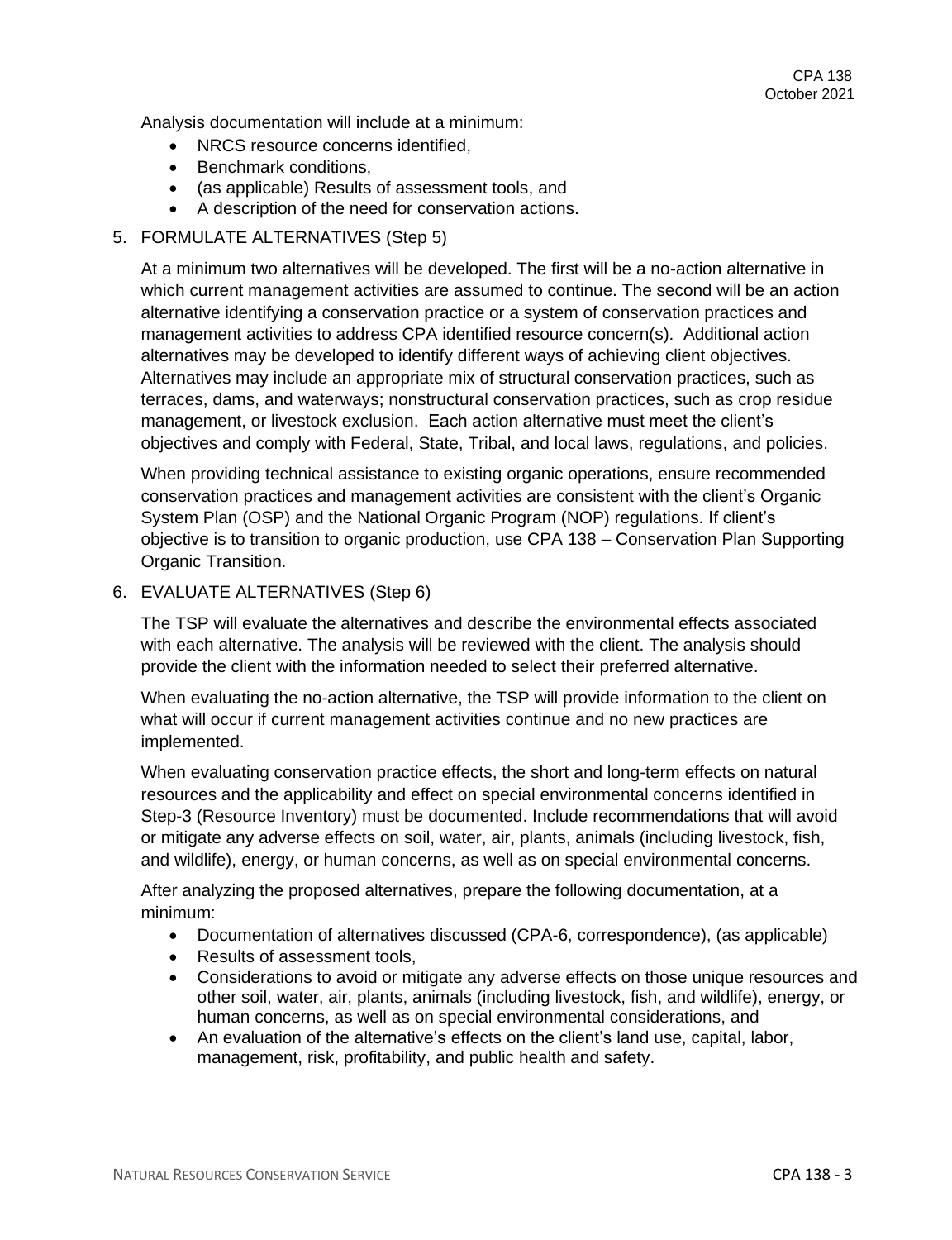Analysis documentation will include at a minimum:

- NRCS resource concerns identified.
- Benchmark conditions,
- (as applicable) Results of assessment tools, and
- A description of the need for conservation actions.
- 5. FORMULATE ALTERNATIVES (Step 5)

At a minimum two alternatives will be developed. The first will be a no-action alternative in which current management activities are assumed to continue. The second will be an action alternative identifying a conservation practice or a system of conservation practices and management activities to address CPA identified resource concern(s). Additional action alternatives may be developed to identify different ways of achieving client objectives. Alternatives may include an appropriate mix of structural conservation practices, such as terraces, dams, and waterways; nonstructural conservation practices, such as crop residue management, or livestock exclusion. Each action alternative must meet the client's objectives and comply with Federal, State, Tribal, and local laws, regulations, and policies.

When providing technical assistance to existing organic operations, ensure recommended conservation practices and management activities are consistent with the client's Organic System Plan (OSP) and the National Organic Program (NOP) regulations. If client's objective is to transition to organic production, use CPA 138 – Conservation Plan Supporting Organic Transition.

6. EVALUATE ALTERNATIVES (Step 6)

The TSP will evaluate the alternatives and describe the environmental effects associated with each alternative. The analysis will be reviewed with the client. The analysis should provide the client with the information needed to select their preferred alternative.

When evaluating the no-action alternative, the TSP will provide information to the client on what will occur if current management activities continue and no new practices are implemented.

When evaluating conservation practice effects, the short and long-term effects on natural resources and the applicability and effect on special environmental concerns identified in Step-3 (Resource Inventory) must be documented. Include recommendations that will avoid or mitigate any adverse effects on soil, water, air, plants, animals (including livestock, fish, and wildlife), energy, or human concerns, as well as on special environmental concerns.

After analyzing the proposed alternatives, prepare the following documentation, at a minimum:

- Documentation of alternatives discussed (CPA-6, correspondence), (as applicable)
- Results of assessment tools,
- Considerations to avoid or mitigate any adverse effects on those unique resources and other soil, water, air, plants, animals (including livestock, fish, and wildlife), energy, or human concerns, as well as on special environmental considerations, and
- An evaluation of the alternative's effects on the client's land use, capital, labor, management, risk, profitability, and public health and safety.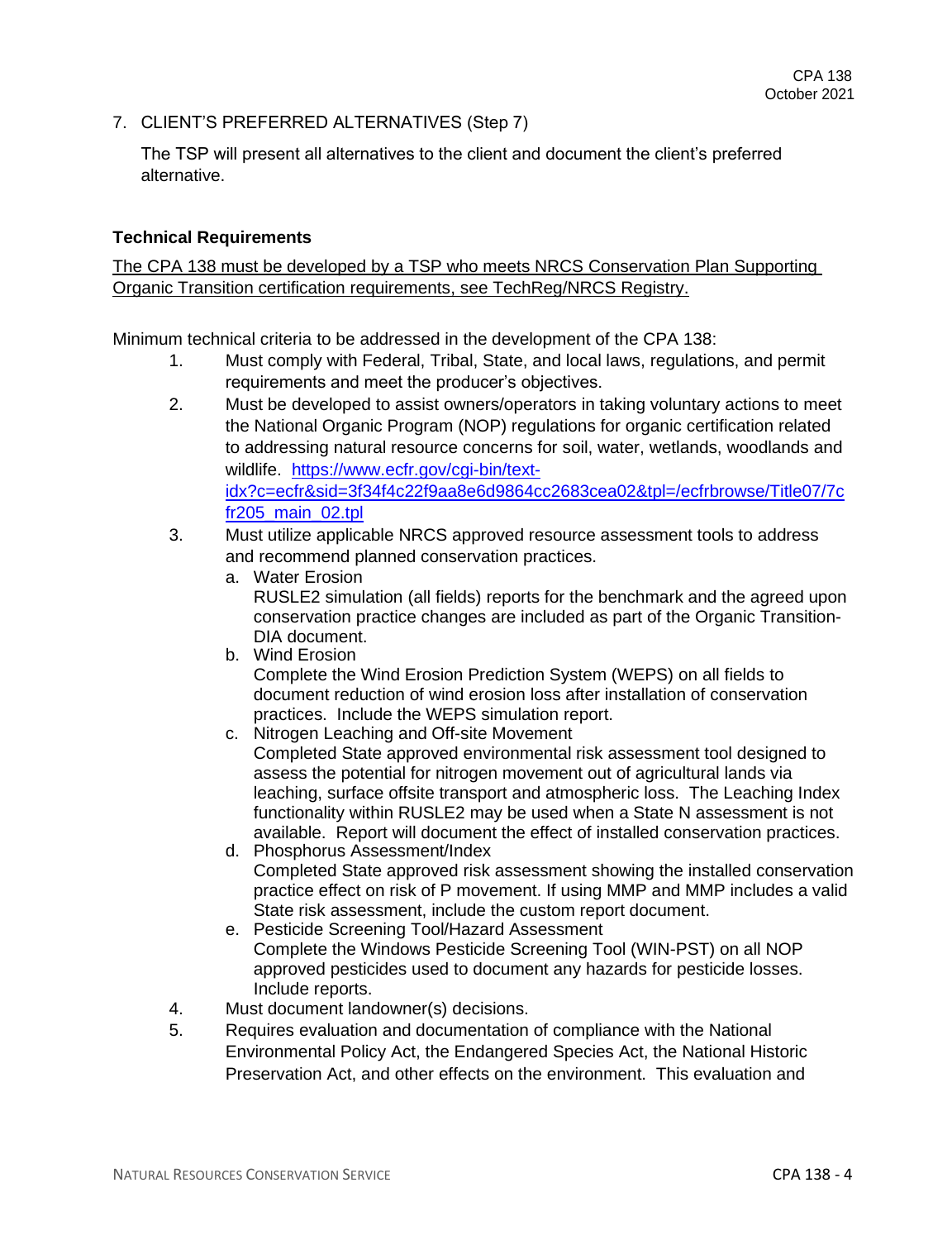7. CLIENT'S PREFERRED ALTERNATIVES (Step 7)

The TSP will present all alternatives to the client and document the client's preferred alternative.

#### **Technical Requirements**

The CPA 138 must be developed by a TSP who meets NRCS Conservation Plan Supporting Organic Transition certification requirements, see TechReg/NRCS Registry.

Minimum technical criteria to be addressed in the development of the CPA 138:

- 1. Must comply with Federal, Tribal, State, and local laws, regulations, and permit requirements and meet the producer's objectives.
- 2. Must be developed to assist owners/operators in taking voluntary actions to meet the National Organic Program (NOP) regulations for organic certification related to addressing natural resource concerns for soil, water, wetlands, woodlands and wildlife. [https://www.ecfr.gov/cgi-bin/text](https://www.ecfr.gov/cgi-bin/text-idx?c=ecfr&sid=3f34f4c22f9aa8e6d9864cc2683cea02&tpl=/ecfrbrowse/Title07/7cfr205_main_02.tpl)[idx?c=ecfr&sid=3f34f4c22f9aa8e6d9864cc2683cea02&tpl=/ecfrbrowse/Title07/7c](https://www.ecfr.gov/cgi-bin/text-idx?c=ecfr&sid=3f34f4c22f9aa8e6d9864cc2683cea02&tpl=/ecfrbrowse/Title07/7cfr205_main_02.tpl) [fr205\\_main\\_02.tpl](https://www.ecfr.gov/cgi-bin/text-idx?c=ecfr&sid=3f34f4c22f9aa8e6d9864cc2683cea02&tpl=/ecfrbrowse/Title07/7cfr205_main_02.tpl)
- 3. Must utilize applicable NRCS approved resource assessment tools to address and recommend planned conservation practices.
	- a. Water Erosion RUSLE2 simulation (all fields) reports for the benchmark and the agreed upon conservation practice changes are included as part of the Organic Transition-DIA document.
	- b. Wind Erosion

Complete the Wind Erosion Prediction System (WEPS) on all fields to document reduction of wind erosion loss after installation of conservation practices. Include the WEPS simulation report.

- c. Nitrogen Leaching and Off-site Movement Completed State approved environmental risk assessment tool designed to assess the potential for nitrogen movement out of agricultural lands via leaching, surface offsite transport and atmospheric loss. The Leaching Index functionality within RUSLE2 may be used when a State N assessment is not available. Report will document the effect of installed conservation practices.
- d. Phosphorus Assessment/Index Completed State approved risk assessment showing the installed conservation practice effect on risk of P movement. If using MMP and MMP includes a valid State risk assessment, include the custom report document.
- e. Pesticide Screening Tool/Hazard Assessment Complete the Windows Pesticide Screening Tool (WIN-PST) on all NOP approved pesticides used to document any hazards for pesticide losses. Include reports.
- 4. Must document landowner(s) decisions.
- 5. Requires evaluation and documentation of compliance with the National Environmental Policy Act, the Endangered Species Act, the National Historic Preservation Act, and other effects on the environment. This evaluation and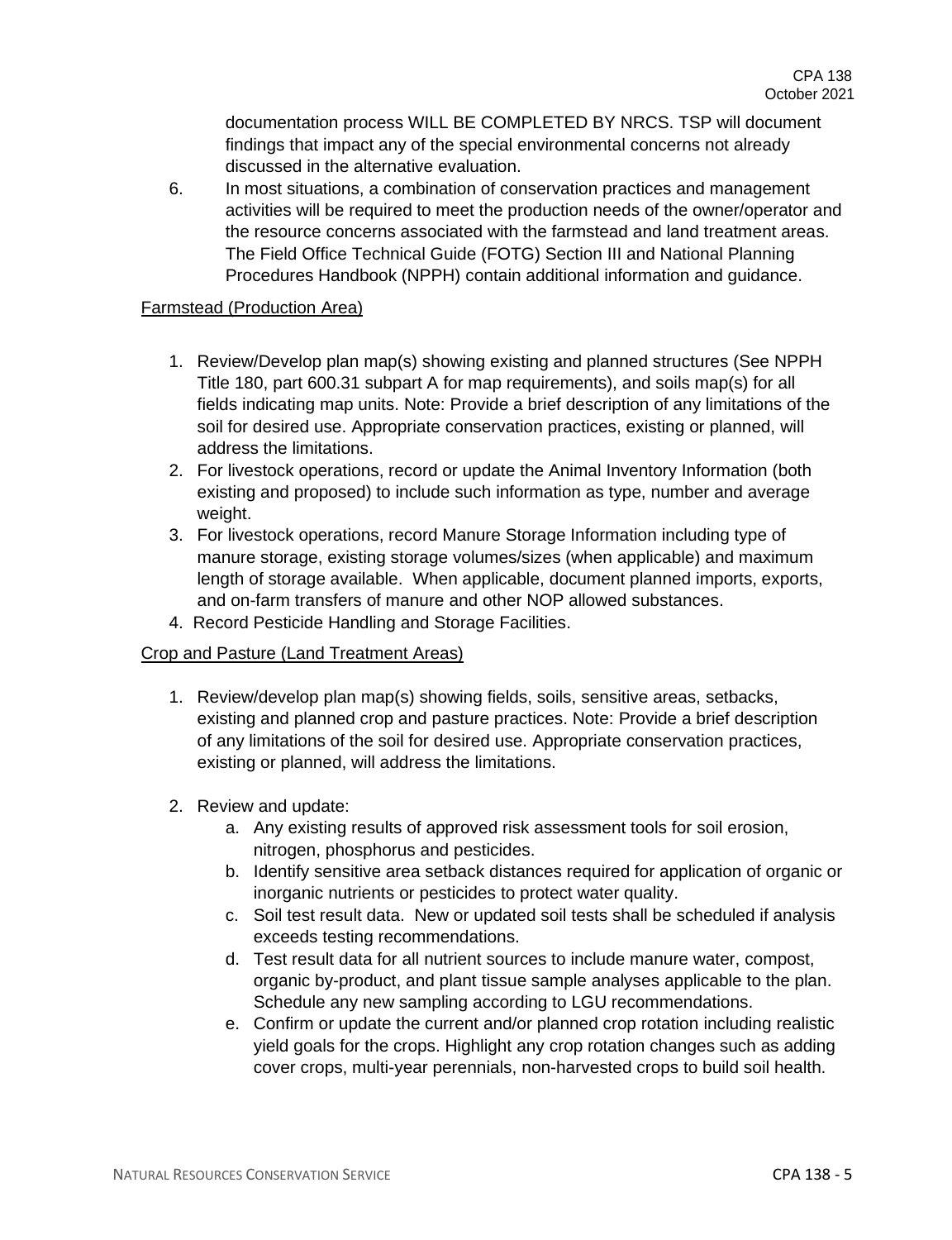documentation process WILL BE COMPLETED BY NRCS. TSP will document findings that impact any of the special environmental concerns not already discussed in the alternative evaluation.

6. In most situations, a combination of conservation practices and management activities will be required to meet the production needs of the owner/operator and the resource concerns associated with the farmstead and land treatment areas. The Field Office Technical Guide (FOTG) Section III and National Planning Procedures Handbook (NPPH) contain additional information and guidance.

#### Farmstead (Production Area)

- 1. Review/Develop plan map(s) showing existing and planned structures (See NPPH Title 180, part 600.31 subpart A for map requirements), and soils map(s) for all fields indicating map units. Note: Provide a brief description of any limitations of the soil for desired use. Appropriate conservation practices, existing or planned, will address the limitations.
- 2. For livestock operations, record or update the Animal Inventory Information (both existing and proposed) to include such information as type, number and average weight.
- 3. For livestock operations, record Manure Storage Information including type of manure storage, existing storage volumes/sizes (when applicable) and maximum length of storage available. When applicable, document planned imports, exports, and on-farm transfers of manure and other NOP allowed substances.
- 4. Record Pesticide Handling and Storage Facilities.

# Crop and Pasture (Land Treatment Areas)

- 1. Review/develop plan map(s) showing fields, soils, sensitive areas, setbacks, existing and planned crop and pasture practices. Note: Provide a brief description of any limitations of the soil for desired use. Appropriate conservation practices, existing or planned, will address the limitations.
- 2. Review and update:
	- a. Any existing results of approved risk assessment tools for soil erosion, nitrogen, phosphorus and pesticides.
	- b. Identify sensitive area setback distances required for application of organic or inorganic nutrients or pesticides to protect water quality.
	- c. Soil test result data. New or updated soil tests shall be scheduled if analysis exceeds testing recommendations.
	- d. Test result data for all nutrient sources to include manure water, compost, organic by-product, and plant tissue sample analyses applicable to the plan. Schedule any new sampling according to LGU recommendations.
	- e. Confirm or update the current and/or planned crop rotation including realistic yield goals for the crops. Highlight any crop rotation changes such as adding cover crops, multi-year perennials, non-harvested crops to build soil health.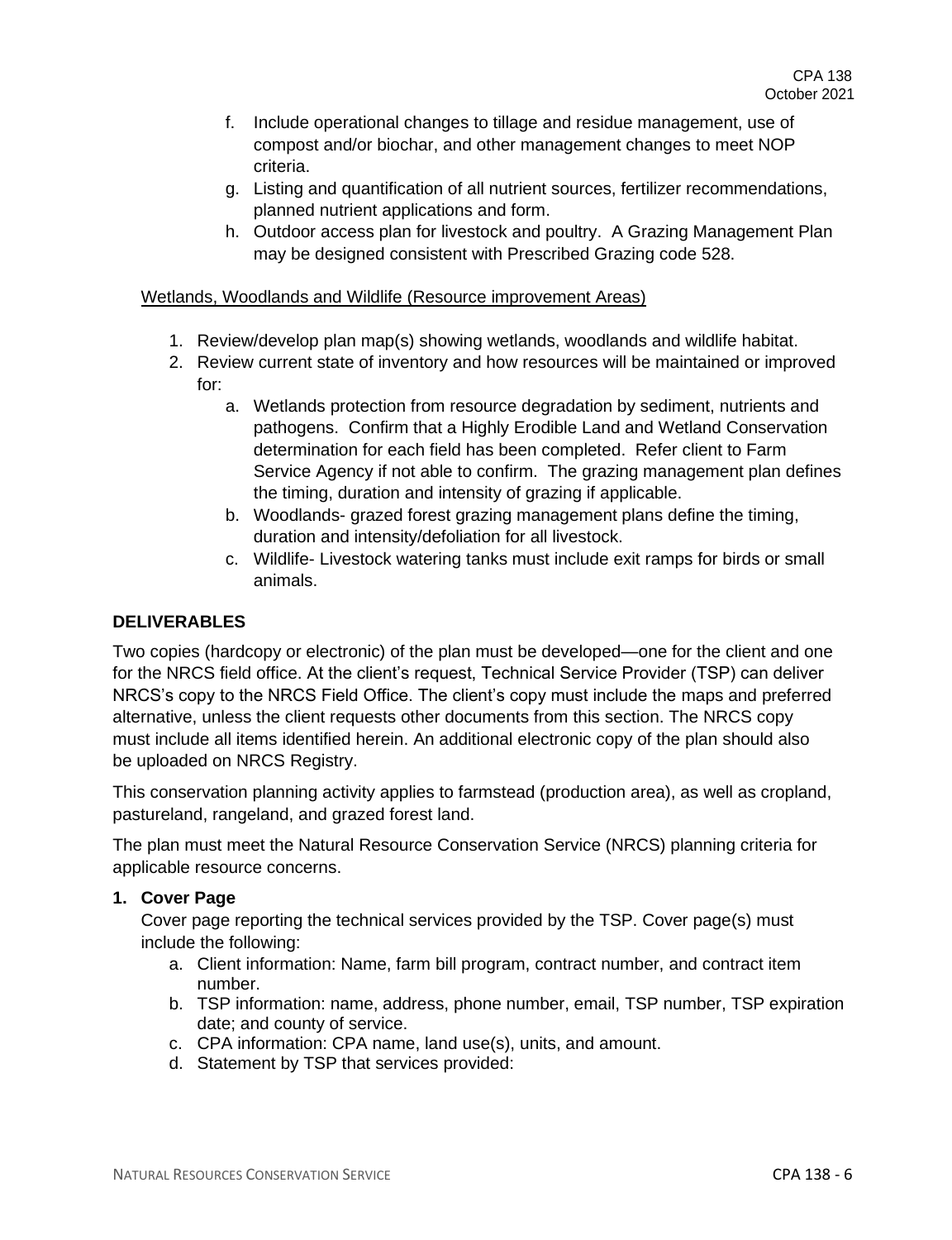- f. Include operational changes to tillage and residue management, use of compost and/or biochar, and other management changes to meet NOP criteria.
- g. Listing and quantification of all nutrient sources, fertilizer recommendations, planned nutrient applications and form.
- h. Outdoor access plan for livestock and poultry. A Grazing Management Plan may be designed consistent with Prescribed Grazing code 528.

#### Wetlands, Woodlands and Wildlife (Resource improvement Areas)

- 1. Review/develop plan map(s) showing wetlands, woodlands and wildlife habitat.
- 2. Review current state of inventory and how resources will be maintained or improved for:
	- a. Wetlands protection from resource degradation by sediment, nutrients and pathogens. Confirm that a Highly Erodible Land and Wetland Conservation determination for each field has been completed. Refer client to Farm Service Agency if not able to confirm. The grazing management plan defines the timing, duration and intensity of grazing if applicable.
	- b. Woodlands- grazed forest grazing management plans define the timing, duration and intensity/defoliation for all livestock.
	- c. Wildlife- Livestock watering tanks must include exit ramps for birds or small animals.

### **DELIVERABLES**

Two copies (hardcopy or electronic) of the plan must be developed—one for the client and one for the NRCS field office. At the client's request, Technical Service Provider (TSP) can deliver NRCS's copy to the NRCS Field Office. The client's copy must include the maps and preferred alternative, unless the client requests other documents from this section. The NRCS copy must include all items identified herein. An additional electronic copy of the plan should also be uploaded on NRCS Registry.

This conservation planning activity applies to farmstead (production area), as well as cropland, pastureland, rangeland, and grazed forest land.

The plan must meet the Natural Resource Conservation Service (NRCS) planning criteria for applicable resource concerns.

#### **1. Cover Page**

Cover page reporting the technical services provided by the TSP. Cover page(s) must include the following:

- a. Client information: Name, farm bill program, contract number, and contract item number.
- b. TSP information: name, address, phone number, email, TSP number, TSP expiration date; and county of service.
- c. CPA information: CPA name, land use(s), units, and amount.
- d. Statement by TSP that services provided: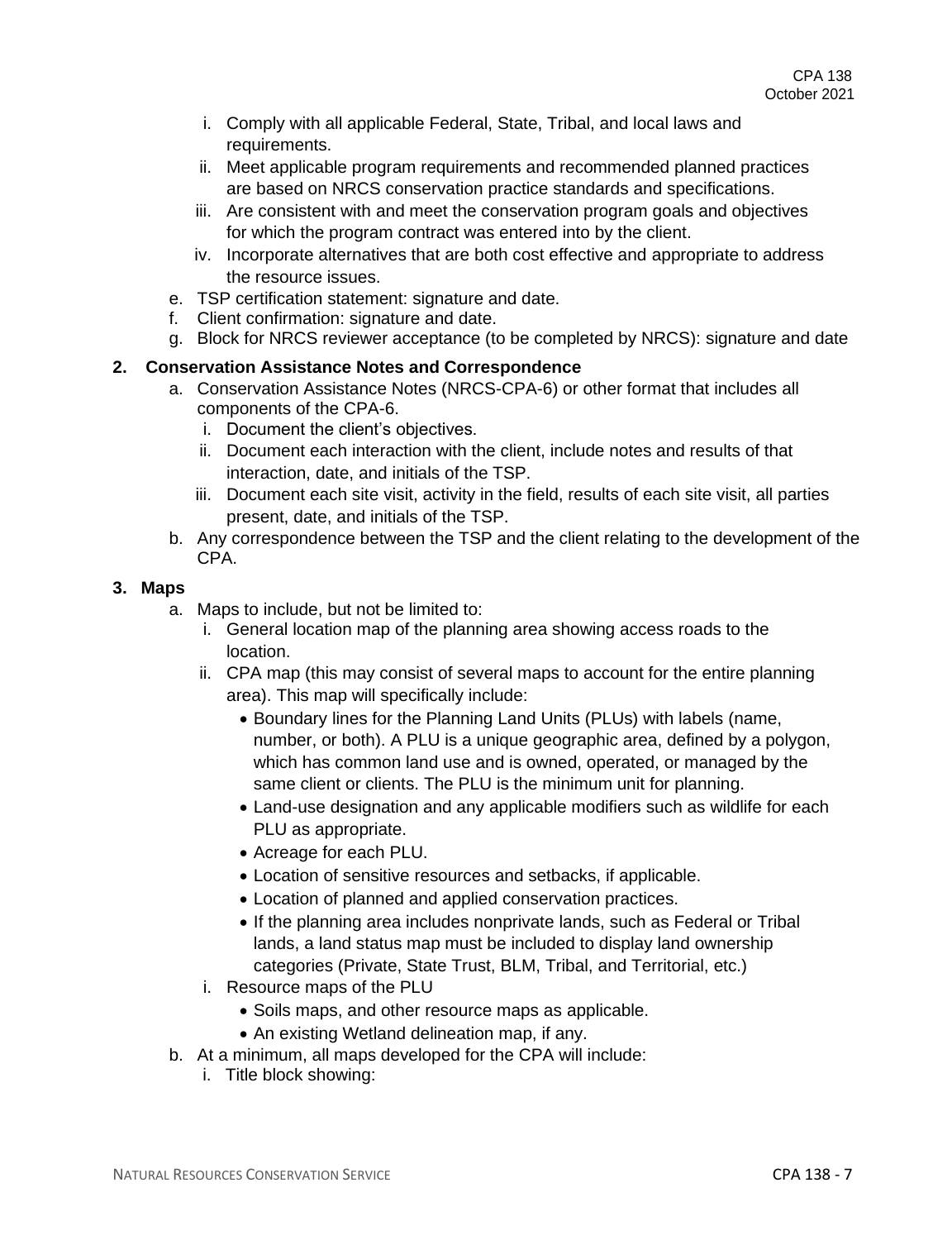- i. Comply with all applicable Federal, State, Tribal, and local laws and requirements.
- ii. Meet applicable program requirements and recommended planned practices are based on NRCS conservation practice standards and specifications.
- iii. Are consistent with and meet the conservation program goals and objectives for which the program contract was entered into by the client.
- iv. Incorporate alternatives that are both cost effective and appropriate to address the resource issues.
- e. TSP certification statement: signature and date.
- f. Client confirmation: signature and date.
- g. Block for NRCS reviewer acceptance (to be completed by NRCS): signature and date

# **2. Conservation Assistance Notes and Correspondence**

- a. Conservation Assistance Notes (NRCS-CPA-6) or other format that includes all components of the CPA-6.
	- i. Document the client's objectives.
	- ii. Document each interaction with the client, include notes and results of that interaction, date, and initials of the TSP.
	- iii. Document each site visit, activity in the field, results of each site visit, all parties present, date, and initials of the TSP.
- b. Any correspondence between the TSP and the client relating to the development of the CPA.

#### **3. Maps**

- a. Maps to include, but not be limited to:
	- i. General location map of the planning area showing access roads to the location.
	- ii. CPA map (this may consist of several maps to account for the entire planning area). This map will specifically include:
		- Boundary lines for the Planning Land Units (PLUs) with labels (name, number, or both). A PLU is a unique geographic area, defined by a polygon, which has common land use and is owned, operated, or managed by the same client or clients. The PLU is the minimum unit for planning.
		- Land-use designation and any applicable modifiers such as wildlife for each PLU as appropriate.
		- Acreage for each PLU.
		- Location of sensitive resources and setbacks, if applicable.
		- Location of planned and applied conservation practices.
		- If the planning area includes nonprivate lands, such as Federal or Tribal lands, a land status map must be included to display land ownership categories (Private, State Trust, BLM, Tribal, and Territorial, etc.)
	- i. Resource maps of the PLU
		- Soils maps, and other resource maps as applicable.
		- An existing Wetland delineation map, if any.
- b. At a minimum, all maps developed for the CPA will include:
	- i. Title block showing: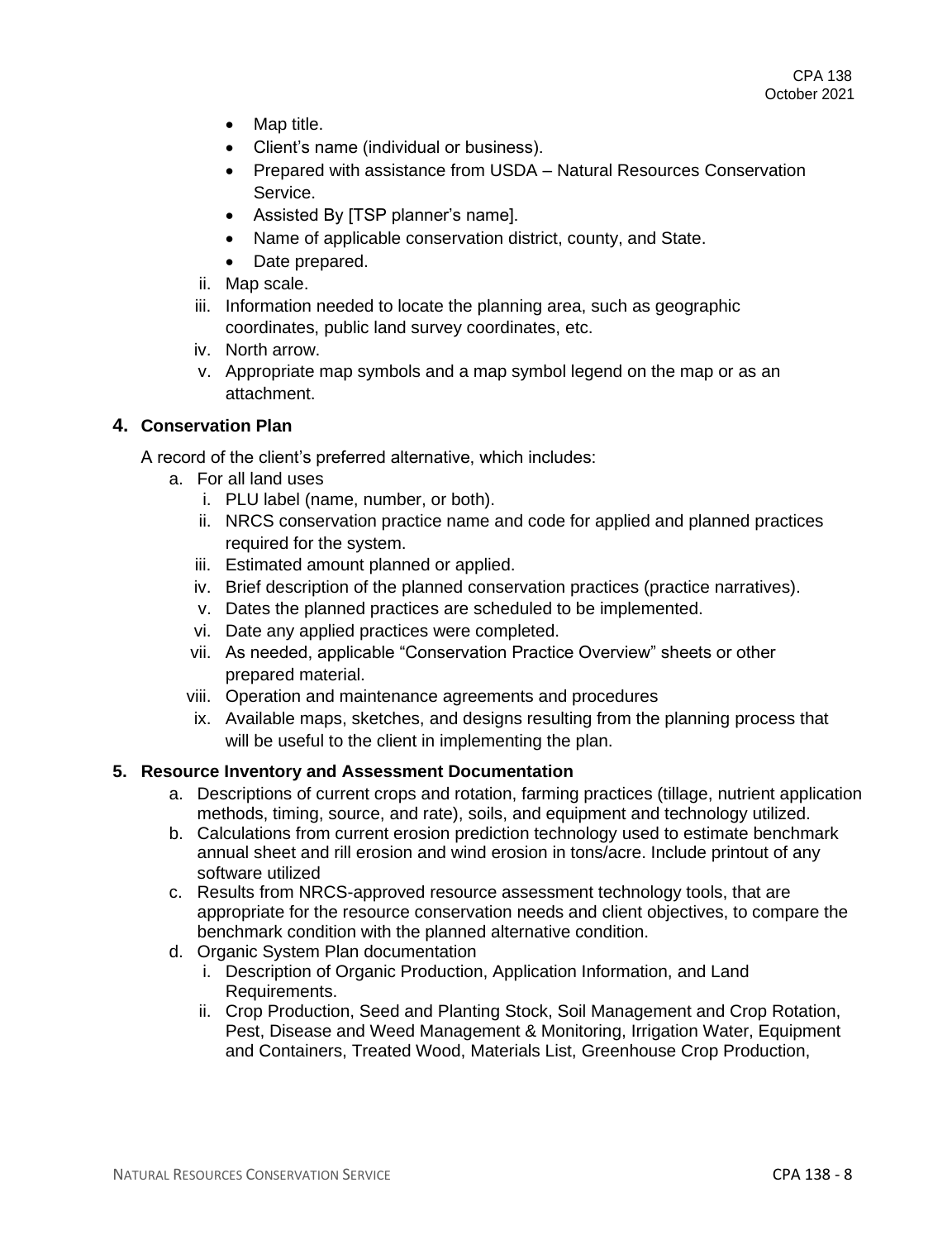- Map title.
- Client's name (individual or business).
- Prepared with assistance from USDA Natural Resources Conservation Service.
- Assisted By [TSP planner's name].
- Name of applicable conservation district, county, and State.
- Date prepared.
- ii. Map scale.
- iii. Information needed to locate the planning area, such as geographic coordinates, public land survey coordinates, etc.
- iv. North arrow.
- v. Appropriate map symbols and a map symbol legend on the map or as an attachment.

# **4. Conservation Plan**

A record of the client's preferred alternative, which includes:

- a. For all land uses
	- i. PLU label (name, number, or both).
	- ii. NRCS conservation practice name and code for applied and planned practices required for the system.
	- iii. Estimated amount planned or applied.
	- iv. Brief description of the planned conservation practices (practice narratives).
	- v. Dates the planned practices are scheduled to be implemented.
	- vi. Date any applied practices were completed.
	- vii. As needed, applicable "Conservation Practice Overview" sheets or other prepared material.
	- viii. Operation and maintenance agreements and procedures
	- ix. Available maps, sketches, and designs resulting from the planning process that will be useful to the client in implementing the plan.

# **5. Resource Inventory and Assessment Documentation**

- a. Descriptions of current crops and rotation, farming practices (tillage, nutrient application methods, timing, source, and rate), soils, and equipment and technology utilized.
- b. Calculations from current erosion prediction technology used to estimate benchmark annual sheet and rill erosion and wind erosion in tons/acre. Include printout of any software utilized
- c. Results from NRCS-approved resource assessment technology tools, that are appropriate for the resource conservation needs and client objectives, to compare the benchmark condition with the planned alternative condition.
- d. Organic System Plan documentation
	- i. Description of Organic Production, Application Information, and Land Requirements.
	- ii. Crop Production, Seed and Planting Stock, Soil Management and Crop Rotation, Pest, Disease and Weed Management & Monitoring, Irrigation Water, Equipment and Containers, Treated Wood, Materials List, Greenhouse Crop Production,